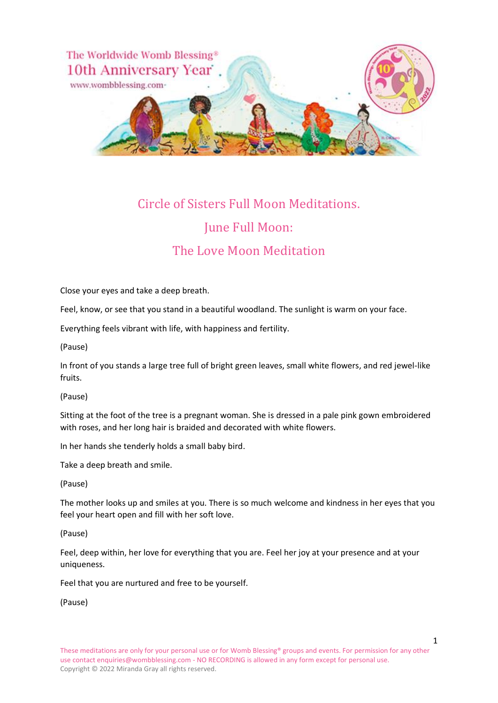

# Circle of Sisters Full Moon Meditations. June Full Moon:

## The Love Moon Meditation

Close your eyes and take a deep breath.

Feel, know, or see that you stand in a beautiful woodland. The sunlight is warm on your face.

Everything feels vibrant with life, with happiness and fertility.

(Pause)

In front of you stands a large tree full of bright green leaves, small white flowers, and red jewel-like fruits.

(Pause)

Sitting at the foot of the tree is a pregnant woman. She is dressed in a pale pink gown embroidered with roses, and her long hair is braided and decorated with white flowers.

In her hands she tenderly holds a small baby bird.

Take a deep breath and smile.

(Pause)

The mother looks up and smiles at you. There is so much welcome and kindness in her eyes that you feel your heart open and fill with her soft love.

(Pause)

Feel, deep within, her love for everything that you are. Feel her joy at your presence and at your uniqueness.

Feel that you are nurtured and free to be yourself.

(Pause)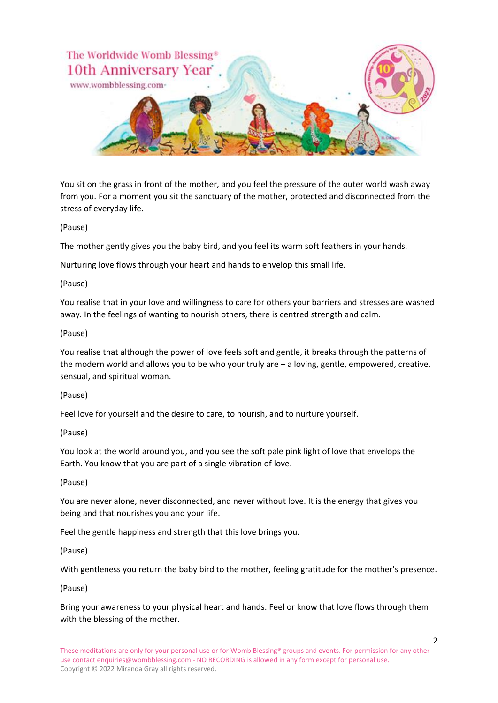

You sit on the grass in front of the mother, and you feel the pressure of the outer world wash away from you. For a moment you sit the sanctuary of the mother, protected and disconnected from the stress of everyday life.

#### (Pause)

The mother gently gives you the baby bird, and you feel its warm soft feathers in your hands.

Nurturing love flows through your heart and hands to envelop this small life.

#### (Pause)

You realise that in your love and willingness to care for others your barriers and stresses are washed away. In the feelings of wanting to nourish others, there is centred strength and calm.

#### (Pause)

You realise that although the power of love feels soft and gentle, it breaks through the patterns of the modern world and allows you to be who your truly are – a loving, gentle, empowered, creative, sensual, and spiritual woman.

#### (Pause)

Feel love for yourself and the desire to care, to nourish, and to nurture yourself.

#### (Pause)

You look at the world around you, and you see the soft pale pink light of love that envelops the Earth. You know that you are part of a single vibration of love.

#### (Pause)

You are never alone, never disconnected, and never without love. It is the energy that gives you being and that nourishes you and your life.

Feel the gentle happiness and strength that this love brings you.

#### (Pause)

With gentleness you return the baby bird to the mother, feeling gratitude for the mother's presence.

#### (Pause)

Bring your awareness to your physical heart and hands. Feel or know that love flows through them with the blessing of the mother.